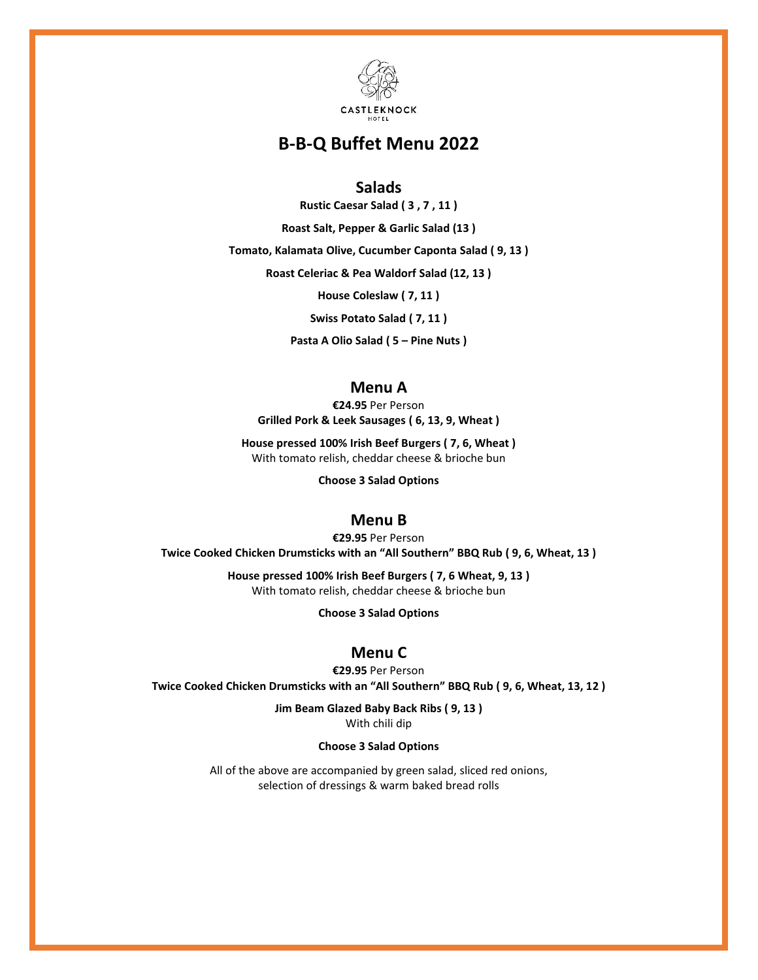

# **B-B-Q Buffet Menu 2022**

### **Salads**

**Rustic Caesar Salad ( 3 , 7 , 11 )**

**Roast Salt, Pepper & Garlic Salad (13 )**

**Tomato, Kalamata Olive, Cucumber Caponta Salad ( 9, 13 )**

**Roast Celeriac & Pea Waldorf Salad (12, 13 )**

**House Coleslaw ( 7, 11 )**

**Swiss Potato Salad ( 7, 11 )**

**Pasta A Olio Salad ( 5 – Pine Nuts )**

# **Menu A**

**€24.95** Per Person **Grilled Pork & Leek Sausages ( 6, 13, 9, Wheat )**

**House pressed 100% Irish Beef Burgers ( 7, 6, Wheat )** With tomato relish, cheddar cheese & brioche bun

**Choose 3 Salad Options**

### **Menu B**

**€29.95** Per Person **Twice Cooked Chicken Drumsticks with an "All Southern" BBQ Rub ( 9, 6, Wheat, 13 )**

> **House pressed 100% Irish Beef Burgers ( 7, 6 Wheat, 9, 13 )** With tomato relish, cheddar cheese & brioche bun

> > **Choose 3 Salad Options**

# **Menu C**

**€29.95** Per Person **Twice Cooked Chicken Drumsticks with an "All Southern" BBQ Rub ( 9, 6, Wheat, 13, 12 )**

> **Jim Beam Glazed Baby Back Ribs ( 9, 13 )** With chili dip

#### **Choose 3 Salad Options**

All of the above are accompanied by green salad, sliced red onions, selection of dressings & warm baked bread rolls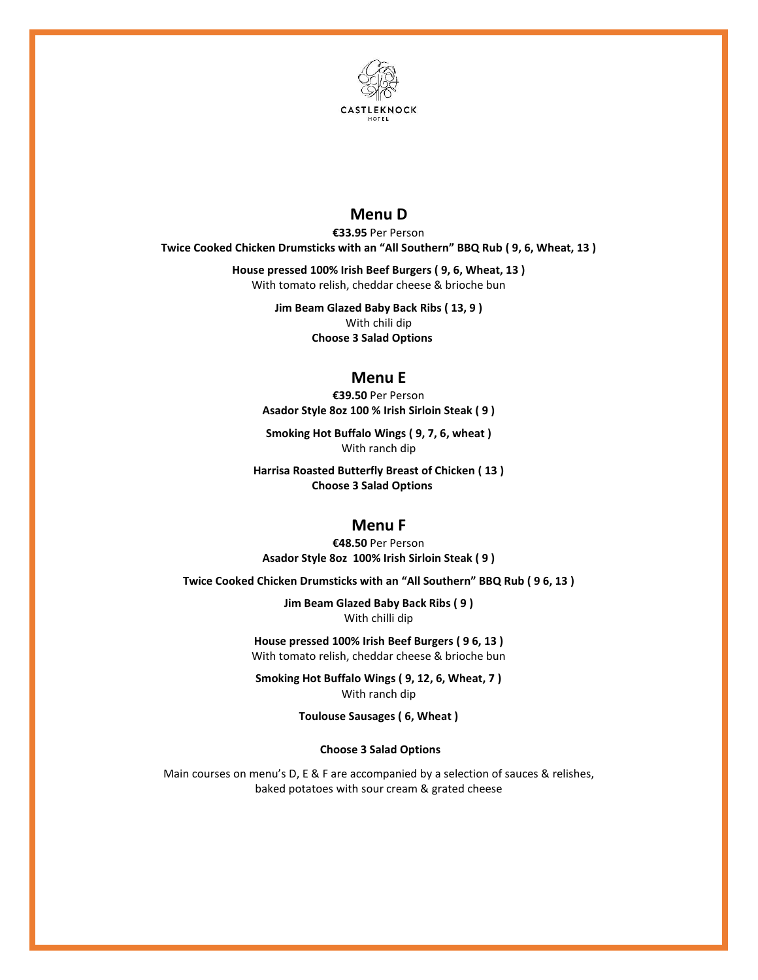

# **Menu D**

**€33.95** Per Person **Twice Cooked Chicken Drumsticks with an "All Southern" BBQ Rub ( 9, 6, Wheat, 13 )**

> **House pressed 100% Irish Beef Burgers ( 9, 6, Wheat, 13 )** With tomato relish, cheddar cheese & brioche bun

> > **Jim Beam Glazed Baby Back Ribs ( 13, 9 )** With chili dip **Choose 3 Salad Options**

### **Menu E**

**€39.50** Per Person **Asador Style 8oz 100 % Irish Sirloin Steak ( 9 )**

**Smoking Hot Buffalo Wings ( 9, 7, 6, wheat )** With ranch dip

**Harrisa Roasted Butterfly Breast of Chicken ( 13 ) Choose 3 Salad Options**

### **Menu F**

**€48.50** Per Person **Asador Style 8oz 100% Irish Sirloin Steak ( 9 )**

**Twice Cooked Chicken Drumsticks with an "All Southern" BBQ Rub ( 9 6, 13 )**

**Jim Beam Glazed Baby Back Ribs ( 9 )** With chilli dip

**House pressed 100% Irish Beef Burgers ( 9 6, 13 )** With tomato relish, cheddar cheese & brioche bun

**Smoking Hot Buffalo Wings ( 9, 12, 6, Wheat, 7 )** With ranch dip

**Toulouse Sausages ( 6, Wheat )**

**Choose 3 Salad Options**

Main courses on menu's D, E & F are accompanied by a selection of sauces & relishes, baked potatoes with sour cream & grated cheese